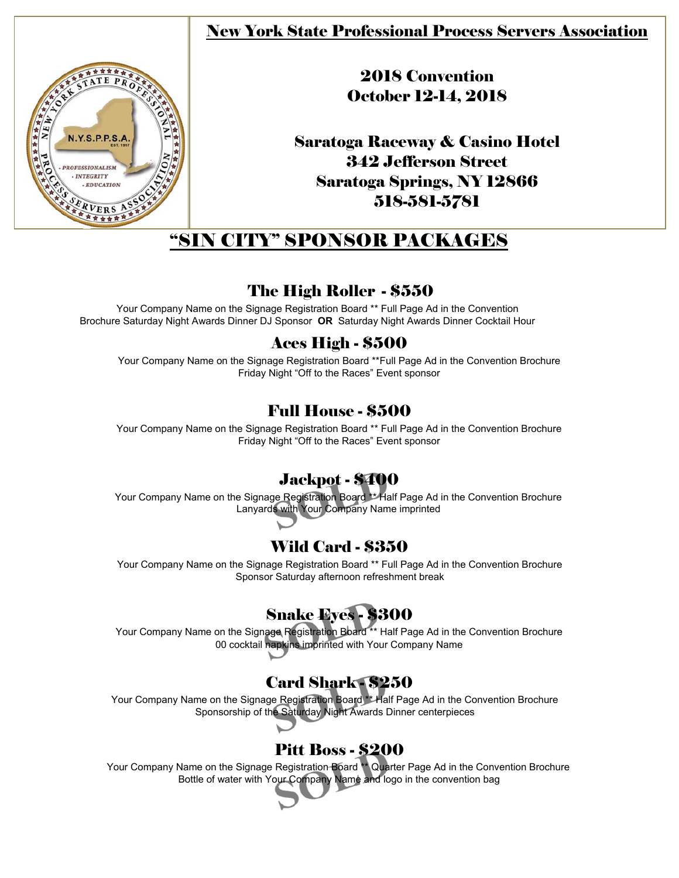### New York State Professional Process Servers Association



## 2018 Convention October 12-14, 2018

Saratoga Raceway & Casino Hotel 342 Jefferson Street Saratoga Springs, NY 12866 518-581-5781

# "SIN CITY" SPONSOR PACKAGES

### The High Roller - \$550

Your Company Name on the Signage Registration Board \*\* Full Page Ad in the Convention Brochure Saturday Night Awards Dinner DJ Sponsor **OR** Saturday Night Awards Dinner Cocktail Hour

### Aces High - \$500

Your Company Name on the Signage Registration Board \*\*Full Page Ad in the Convention Brochure Friday Night "Off to the Races" Event sponsor

### Full House - \$500

Your Company Name on the Signage Registration Board \*\* Full Page Ad in the Convention Brochure Friday Night "Off to the Races" Event sponsor

### Jackpot - \$400

Your Company Name on the Signage Registration Board \*\* Half Page Ad in the Convention Brochure Lanyards with Your Company Name imprinted

### Wild Card - \$350

Your Company Name on the Signage Registration Board \*\* Full Page Ad in the Convention Brochure Sponsor Saturday afternoon refreshment break

# Snake Eyes - \$300

Your Company Name on the Signage Registration Board \*\* Half Page Ad in the Convention Brochure 00 cocktail napkins imprinted with Your Company Name

## Card Shark - \$250

Your Company Name on the Signage Registration Board \*\* Half Page Ad in the Convention Brochure Sponsorship of the Saturday Night Awards Dinner centerpieces

## Pitt Boss - \$200

Your Company Name on the Signage Registration Board \*\* Quarter Page Ad in the Convention Brochure Bottle of water with Your Company Name and logo in the convention bag